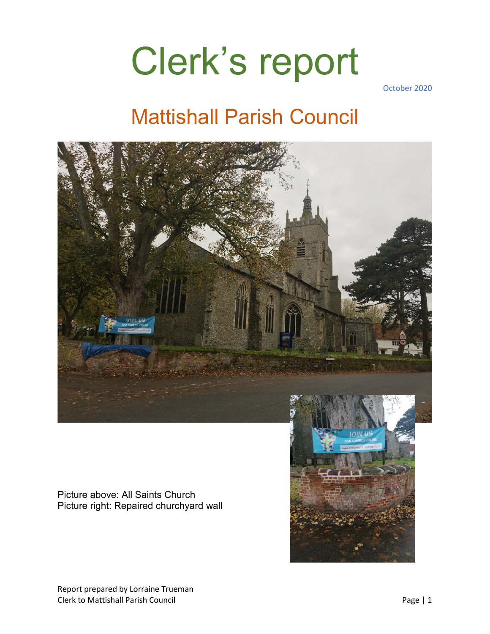# Clerk's report

October 2020

### Mattishall Parish Council



Picture above: All Saints Church Picture right: Repaired churchyard wall

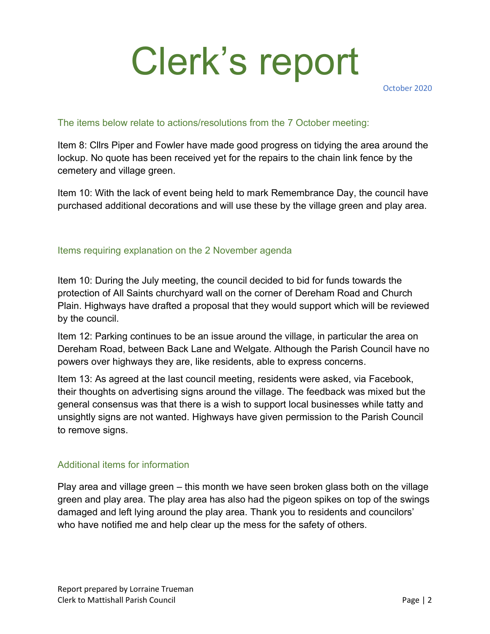# Clerk's report

October 2020

#### The items below relate to actions/resolutions from the 7 October meeting:

Item 8: Cllrs Piper and Fowler have made good progress on tidying the area around the lockup. No quote has been received yet for the repairs to the chain link fence by the cemetery and village green.

Item 10: With the lack of event being held to mark Remembrance Day, the council have purchased additional decorations and will use these by the village green and play area.

#### Items requiring explanation on the 2 November agenda

Item 10: During the July meeting, the council decided to bid for funds towards the protection of All Saints churchyard wall on the corner of Dereham Road and Church Plain. Highways have drafted a proposal that they would support which will be reviewed by the council.

Item 12: Parking continues to be an issue around the village, in particular the area on Dereham Road, between Back Lane and Welgate. Although the Parish Council have no powers over highways they are, like residents, able to express concerns.

Item 13: As agreed at the last council meeting, residents were asked, via Facebook, their thoughts on advertising signs around the village. The feedback was mixed but the general consensus was that there is a wish to support local businesses while tatty and unsightly signs are not wanted. Highways have given permission to the Parish Council to remove signs.

### Additional items for information

Play area and village green – this month we have seen broken glass both on the village green and play area. The play area has also had the pigeon spikes on top of the swings damaged and left lying around the play area. Thank you to residents and councilors' who have notified me and help clear up the mess for the safety of others.